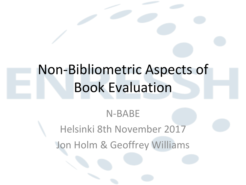# Non-Bibliometric Aspects of **Book Evaluation**

## N-BABE Helsinki 8th November 2017 Jon Holm & Geoffrey Williams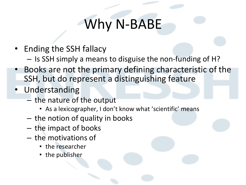# Why N-BABE

- Ending the SSH fallacy
	- $-$  Is SSH simply a means to disguise the non-funding of H?
- Books are not the primary defining characteristic of the SSH, but do represent a distinguishing feature
- Understanding
	- $-$  the nature of the output
		- As a lexicographer, I don't know what 'scientific' means
	- $-$  the notion of quality in books
	- $-$  the impact of books
	- $-$  the motivations of
		- the researcher
		- the publisher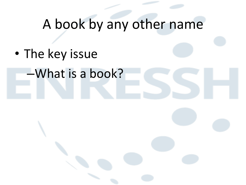# A book by any other name

• The key issue

–What is a book?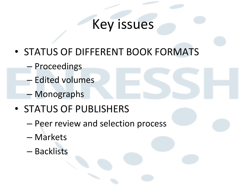#### Key issues

- STATUS OF DIFFERENT BOOK FORMATS
	- Proceedings
	- Edited volumes
	- Monographs
- STATUS OF PUBLISHERS
	- Peer review and selection process
	- Markets
	- Backlists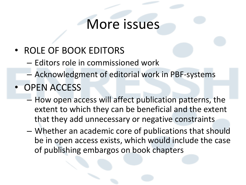#### More issues

- ROLE OF BOOK EDITORS
	- $-$  Editors role in commissioned work
	- Acknowledgment of editorial work in PBF-systems
- OPEN ACCESS
	- $-$  How open access will affect publication patterns, the extent to which they can be beneficial and the extent that they add unnecessary or negative constraints
	- Whether an academic core of publications that should be in open access exists, which would include the case of publishing embargos on book chapters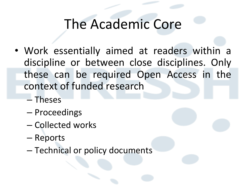#### The Academic Core

- Work essentially aimed at readers within a discipline or between close disciplines. Only these can be required Open Access in the context of funded research
	- Theses
	- Proceedings
	- Collected works
	- Reports
	- Technical or policy documents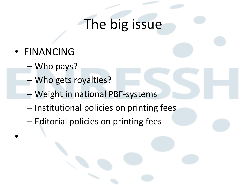## The big issue

• FINANCING

•

- Who pays?
- Who gets royalties?
- Weight in national PBF-systems
- $-$  Institutional policies on printing fees
- $-$  Editorial policies on printing fees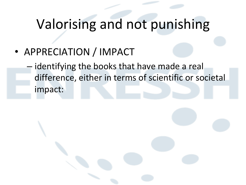# Valorising and not punishing

• APPRECIATION / IMPACT

 $-$  identifying the books that have made a real difference, either in terms of scientific or societal impact: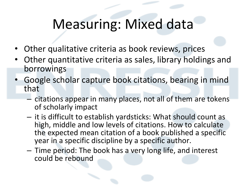# Measuring: Mixed data

- Other qualitative criteria as book reviews, prices
- Other quantitative criteria as sales, library holdings and borrowings
- Google scholar capture book citations, bearing in mind that
	- $-$  citations appear in many places, not all of them are tokens of scholarly impact
	- $-$  it is difficult to establish yardsticks: What should count as high, middle and low levels of citations. How to calculate the expected mean citation of a book published a specific year in a specific discipline by a specific author.
	- $-$  Time period: The book has a very long life, and interest could be rebound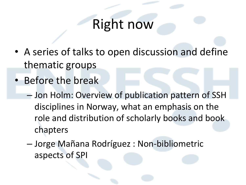#### **Right now**

- A series of talks to open discussion and define thematic groups
- Before the break
	- $-$  Jon Holm: Overview of publication pattern of SSH disciplines in Norway, what an emphasis on the role and distribution of scholarly books and book chapters
	- Jorge Mañana Rodríguez : Non-bibliometric aspects of SPI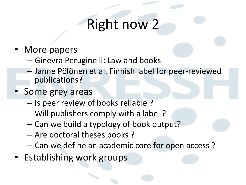# **Right now 2**

- More papers
	- $-$  Ginevra Peruginelli: Law and books
	- Janne Pölönen et al. Finnish label for peer-reviewed publications?
- Some grey areas
	- $-$  Is peer review of books reliable ?
	- Will publishers comply with a label ?
	- Can we build a typology of book output?
	- Are doctoral theses books?
	- Can we define an academic core for open access?
- Establishing work groups